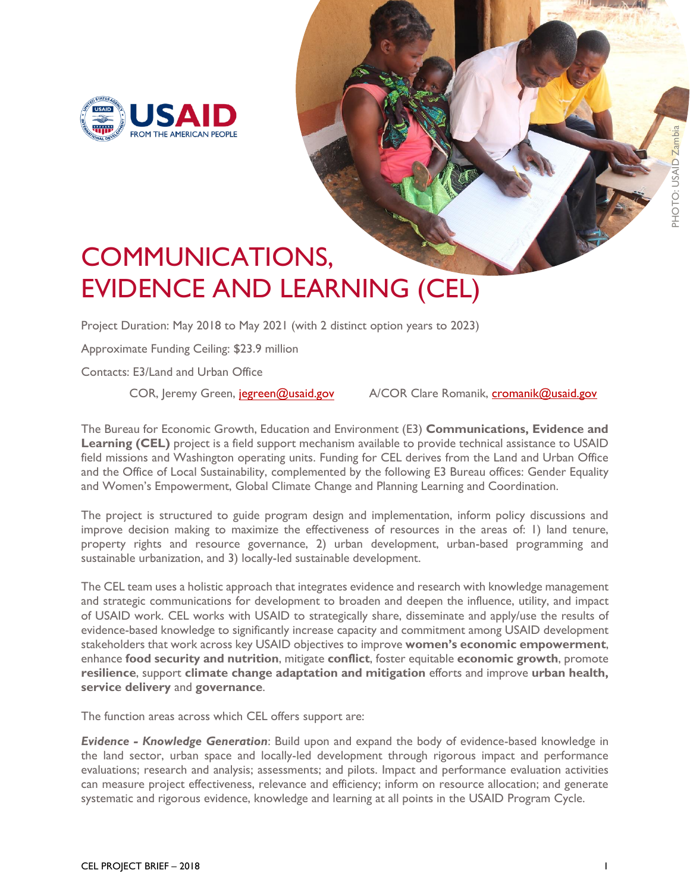

## COMMUNICATIONS, EVIDENCE AND LEARNING (CEL)

Project Duration: May 2018 to May 2021 (with 2 distinct option years to 2023)

Approximate Funding Ceiling: \$23.9 million

Contacts: E3/Land and Urban Office

COR, Jeremy Green, je[green@usaid.gov](mailto:jgreen@usaid.gov) A/COR Clare Romanik, [cromanik@usaid.gov](mailto:cromanik@usaid.gov)

**PHOTO: USA** 

The Bureau for Economic Growth, Education and Environment (E3) **Communications, Evidence and Learning (CEL)** project is a field support mechanism available to provide technical assistance to USAID field missions and Washington operating units. Funding for CEL derives from the Land and Urban Office and the Office of Local Sustainability, complemented by the following E3 Bureau offices: Gender Equality and Women's Empowerment, Global Climate Change and Planning Learning and Coordination.

The project is structured to guide program design and implementation, inform policy discussions and improve decision making to maximize the effectiveness of resources in the areas of: 1) land tenure, property rights and resource governance, 2) urban development, urban-based programming and sustainable urbanization, and 3) locally-led sustainable development.

The CEL team uses a holistic approach that integrates evidence and research with knowledge management and strategic communications for development to broaden and deepen the influence, utility, and impact of USAID work. CEL works with USAID to strategically share, disseminate and apply/use the results of evidence-based knowledge to significantly increase capacity and commitment among USAID development stakeholders that work across key USAID objectives to improve **women's economic empowerment**, enhance **food security and nutrition**, mitigate **conflict**, foster equitable **economic growth**, promote **resilience**, support **climate change adaptation and mitigation** efforts and improve **urban health, service delivery** and **governance**.

The function areas across which CEL offers support are:

*Evidence - Knowledge Generation*: Build upon and expand the body of evidence-based knowledge in the land sector, urban space and locally-led development through rigorous impact and performance evaluations; research and analysis; assessments; and pilots. Impact and performance evaluation activities can measure project effectiveness, relevance and efficiency; inform on resource allocation; and generate systematic and rigorous evidence, knowledge and learning at all points in the USAID Program Cycle.